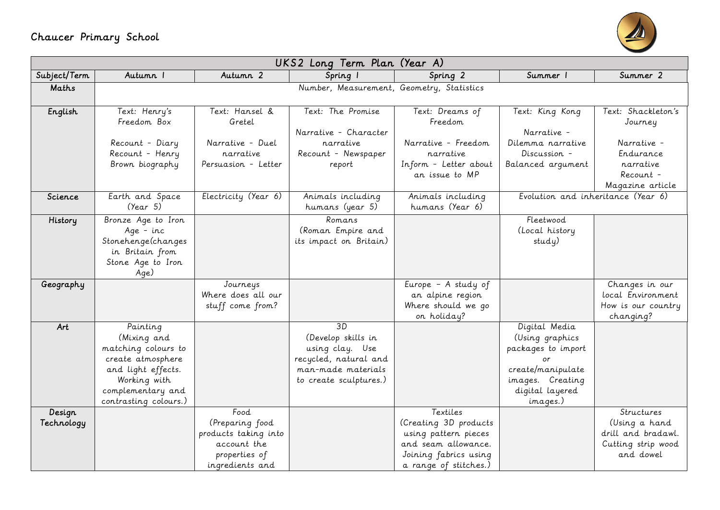## Chaucer Primary School



| Autumn 2<br>Summer 2<br>Subject/Term<br>Autumn I<br>Spring 2<br>Summer 1<br>Spring 1<br>Number, Measurement, Geometry, Statistics<br>Maths |  |
|--------------------------------------------------------------------------------------------------------------------------------------------|--|
|                                                                                                                                            |  |
|                                                                                                                                            |  |
| Text: Henry's<br>Text: Hansel &<br>Text: The Promise<br>Text: Shackleton's<br>English<br>Text: Dreams of<br>Text: King Kong                |  |
| Freedom Box<br>Gretel<br>Freedom<br>Journey                                                                                                |  |
| Narrative - Character<br>Narrative -                                                                                                       |  |
| Narrative - Duel<br>Narrative - Freedom<br>Recount - Diary<br>narrative<br>Dilemma narrative<br>Narrative -                                |  |
| Recount - Henry<br>Endurance<br>narrative<br>Recount - Newspaper<br>narrative<br>Discussion -                                              |  |
| Brown biography<br>Persuasion - Letter<br>Inform - Letter about<br>narrative<br>Balanced argument<br>report                                |  |
| an issue to MP<br>Recount -                                                                                                                |  |
| Magazine article                                                                                                                           |  |
| Electricity (Year 6)<br>Earth and Space<br>Evolution and inheritance (Year 6)<br>Science<br>Animals including<br>Animals including         |  |
| (Year 5)<br>humans (Year 6)<br>humans (year 5)                                                                                             |  |
| Bronze Age to Iron<br>Romans<br>Fleetwood<br>History                                                                                       |  |
| (Local history<br>Age - inc<br>(Roman Empire and                                                                                           |  |
| Stonehenge(changes<br>its impact on Britain)<br>study)                                                                                     |  |
| in Britain from                                                                                                                            |  |
| Stone Age to Iron                                                                                                                          |  |
| Age)<br>Changes in our<br>Journeys                                                                                                         |  |
| Europe - A study of<br>Geography<br>Where does all our<br>local Environment<br>an alpine region                                            |  |
| Where should we go<br>stuff come from?<br>How is our country                                                                               |  |
| on holiday?<br>changing?                                                                                                                   |  |
| $\overline{3D}$<br>Digital Media<br>Art<br>Painting                                                                                        |  |
| (Develop skills in<br>(Mixing and<br>(Using graphics                                                                                       |  |
| matching colours to<br>packages to import<br>using clay. Use                                                                               |  |
| recycled, natural and<br>create atmosphere<br>or                                                                                           |  |
| man-made materials<br>create/manipulate<br>and light effects.                                                                              |  |
| Working with<br>images. Creating<br>to create sculptures.)                                                                                 |  |
| digital layered<br>complementary and                                                                                                       |  |
| contrasting colours.)<br>images.)                                                                                                          |  |
| Textiles<br>Food<br>Structures<br>Design                                                                                                   |  |
| (Creating 3D products<br>Technology<br>(Preparing food<br>(Using a hand                                                                    |  |
| drill and bradawl.<br>products taking into<br>using pattern pieces                                                                         |  |
| account the<br>and seam allowance.<br>Cutting strip wood                                                                                   |  |
| Joining fabrics using<br>and dowel<br>properties of<br>a range of stitches.)<br>ingredients and                                            |  |